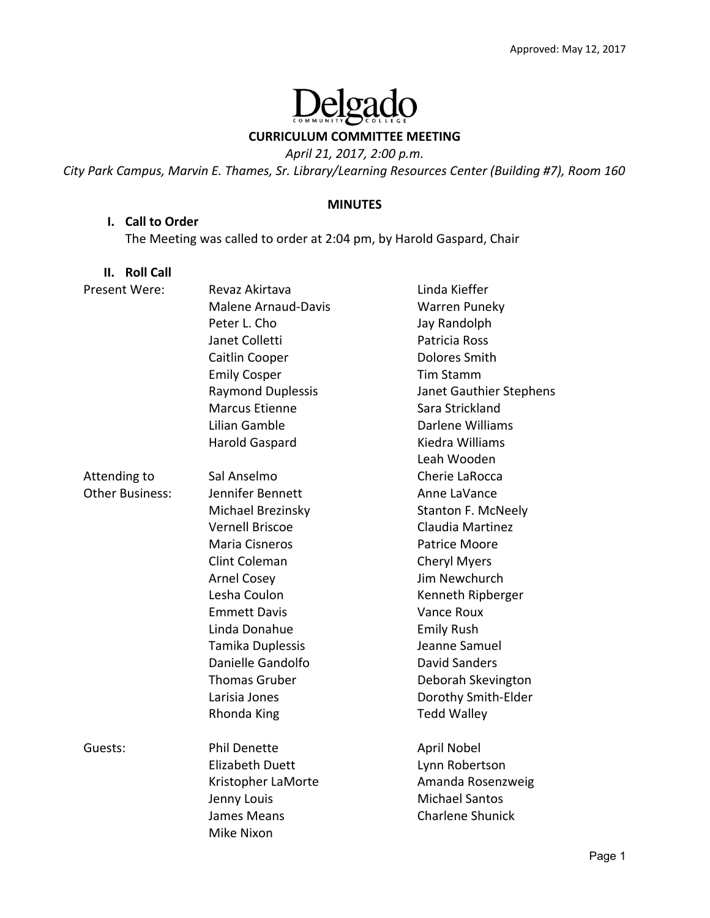# elgado  $\frac{1}{1}$

**CURRICULUM COMMITTEE MEETING** 

*April 21, 2017, 2:00 p.m.* 

*City Park Campus, Marvin E. Thames, Sr. Library/Learning Resources Center (Building #7), Room 160* 

#### **MINUTES**

#### **I. Call to Order**

The Meeting was called to order at 2:04 pm, by Harold Gaspard, Chair

| <b>Roll Call</b><br>Н. |                            |                         |
|------------------------|----------------------------|-------------------------|
| Present Were:          | Revaz Akirtava             | Linda Kieffer           |
|                        | <b>Malene Arnaud-Davis</b> | <b>Warren Puneky</b>    |
|                        | Peter L. Cho               | Jay Randolph            |
|                        | Janet Colletti             | Patricia Ross           |
|                        | Caitlin Cooper             | <b>Dolores Smith</b>    |
|                        | <b>Emily Cosper</b>        | <b>Tim Stamm</b>        |
|                        | <b>Raymond Duplessis</b>   | Janet Gauthier Stephens |
|                        | <b>Marcus Etienne</b>      | Sara Strickland         |
|                        | Lilian Gamble              | Darlene Williams        |
|                        | <b>Harold Gaspard</b>      | Kiedra Williams         |
|                        |                            | Leah Wooden             |
| Attending to           | Sal Anselmo                | Cherie LaRocca          |
| <b>Other Business:</b> | Jennifer Bennett           | Anne LaVance            |
|                        | Michael Brezinsky          | Stanton F. McNeely      |
|                        | <b>Vernell Briscoe</b>     | Claudia Martinez        |
|                        | <b>Maria Cisneros</b>      | <b>Patrice Moore</b>    |
|                        | Clint Coleman              | <b>Cheryl Myers</b>     |
|                        | <b>Arnel Cosey</b>         | Jim Newchurch           |
|                        | Lesha Coulon               | Kenneth Ripberger       |
|                        | <b>Emmett Davis</b>        | <b>Vance Roux</b>       |
|                        | Linda Donahue              | <b>Emily Rush</b>       |
|                        | Tamika Duplessis           | Jeanne Samuel           |
|                        | Danielle Gandolfo          | <b>David Sanders</b>    |
|                        | <b>Thomas Gruber</b>       | Deborah Skevington      |
|                        | Larisia Jones              | Dorothy Smith-Elder     |
|                        | Rhonda King                | <b>Tedd Walley</b>      |
| Guests:                | <b>Phil Denette</b>        | April Nobel             |
|                        | <b>Elizabeth Duett</b>     | Lynn Robertson          |
|                        | Kristopher LaMorte         | Amanda Rosenzweig       |
|                        | Jenny Louis                | <b>Michael Santos</b>   |
|                        | James Means                | <b>Charlene Shunick</b> |

Mike Nixon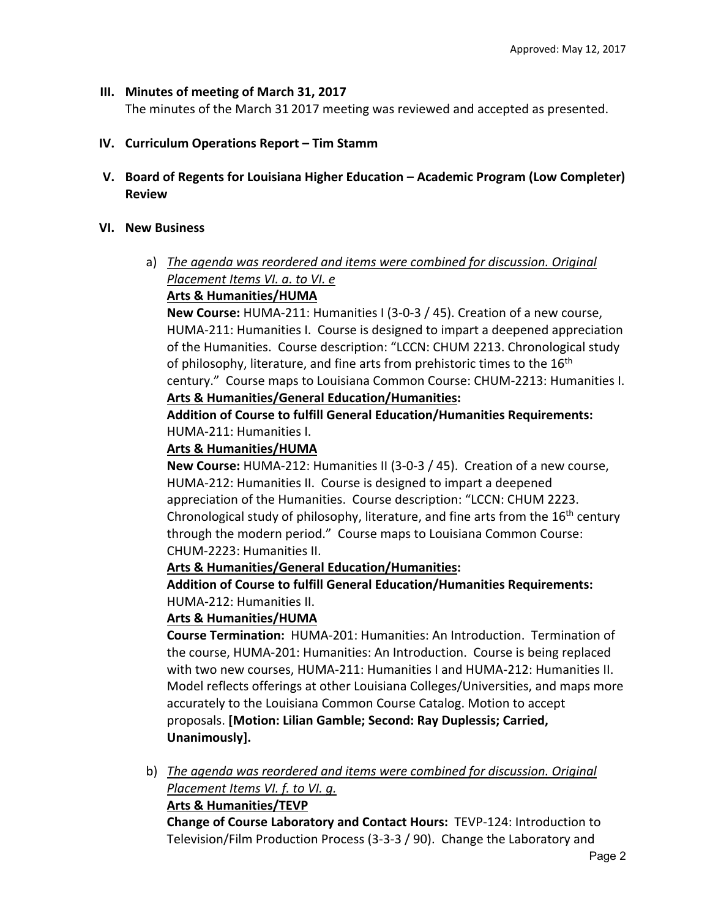#### **III. Minutes of meeting of March 31, 2017**

The minutes of the March 31 2017 meeting was reviewed and accepted as presented.

- **IV. Curriculum Operations Report Tim Stamm**
- **V. Board of Regents for Louisiana Higher Education Academic Program (Low Completer) Review**

#### **VI. New Business**

a) *The agenda was reordered and items were combined for discussion. Original Placement Items VI. a. to VI. e* 

# **Arts & Humanities/HUMA**

**New Course:** HUMA‐211: Humanities I (3‐0‐3 / 45). Creation of a new course, HUMA‐211: Humanities I. Course is designed to impart a deepened appreciation of the Humanities. Course description: "LCCN: CHUM 2213. Chronological study of philosophy, literature, and fine arts from prehistoric times to the  $16<sup>th</sup>$ century." Course maps to Louisiana Common Course: CHUM‐2213: Humanities I.

### **Arts & Humanities/General Education/Humanities:**

**Addition of Course to fulfill General Education/Humanities Requirements:** HUMA‐211: Humanities I.

#### **Arts & Humanities/HUMA**

**New Course:** HUMA‐212: Humanities II (3‐0‐3 / 45). Creation of a new course, HUMA‐212: Humanities II. Course is designed to impart a deepened appreciation of the Humanities. Course description: "LCCN: CHUM 2223. Chronological study of philosophy, literature, and fine arts from the 16<sup>th</sup> century through the modern period." Course maps to Louisiana Common Course: CHUM‐2223: Humanities II.

### **Arts & Humanities/General Education/Humanities:**

**Addition of Course to fulfill General Education/Humanities Requirements:** HUMA‐212: Humanities II.

### **Arts & Humanities/HUMA**

**Course Termination:**  HUMA‐201: Humanities: An Introduction. Termination of the course, HUMA‐201: Humanities: An Introduction. Course is being replaced with two new courses, HUMA‐211: Humanities I and HUMA‐212: Humanities II. Model reflects offerings at other Louisiana Colleges/Universities, and maps more accurately to the Louisiana Common Course Catalog. Motion to accept proposals. **[Motion: Lilian Gamble; Second: Ray Duplessis; Carried, Unanimously].** 

b) *The agenda was reordered and items were combined for discussion. Original Placement Items VI. f. to VI. g.* 

### **Arts & Humanities/TEVP**

**Change of Course Laboratory and Contact Hours:**  TEVP‐124: Introduction to Television/Film Production Process (3‐3‐3 / 90). Change the Laboratory and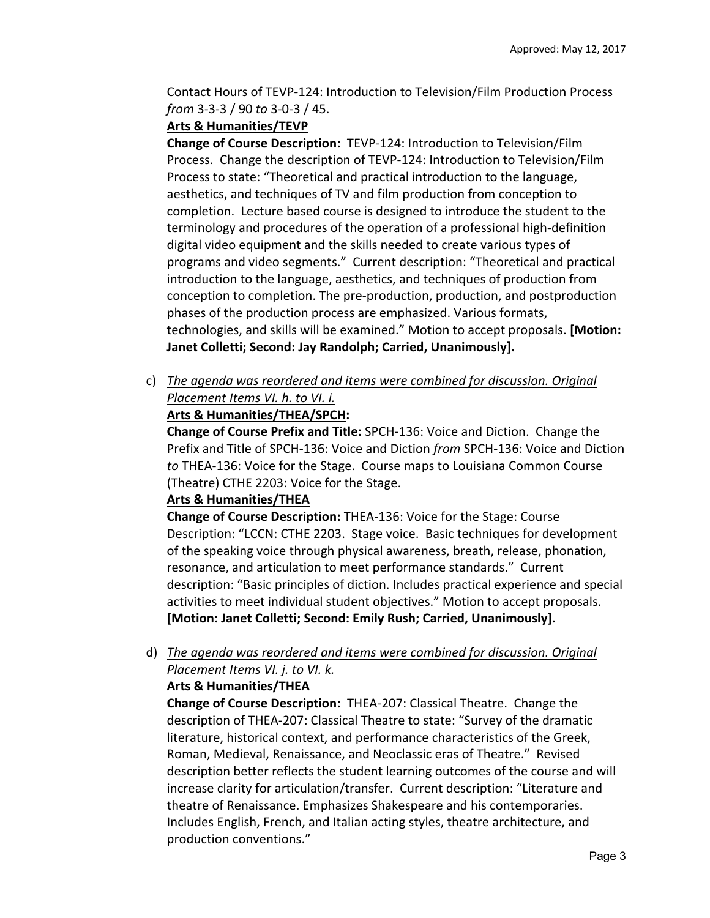Contact Hours of TEVP‐124: Introduction to Television/Film Production Process *from* 3‐3‐3 / 90 *to* 3‐0‐3 / 45.

#### **Arts & Humanities/TEVP**

**Change of Course Description:**  TEVP‐124: Introduction to Television/Film Process. Change the description of TEVP‐124: Introduction to Television/Film Process to state: "Theoretical and practical introduction to the language, aesthetics, and techniques of TV and film production from conception to completion. Lecture based course is designed to introduce the student to the terminology and procedures of the operation of a professional high‐definition digital video equipment and the skills needed to create various types of programs and video segments." Current description: "Theoretical and practical introduction to the language, aesthetics, and techniques of production from conception to completion. The pre‐production, production, and postproduction phases of the production process are emphasized. Various formats, technologies, and skills will be examined." Motion to accept proposals. **[Motion: Janet Colletti; Second: Jay Randolph; Carried, Unanimously].** 

c) *The agenda was reordered and items were combined for discussion. Original Placement Items VI. h. to VI. i.* 

#### **Arts & Humanities/THEA/SPCH:**

**Change of Course Prefix and Title:** SPCH‐136: Voice and Diction. Change the Prefix and Title of SPCH‐136: Voice and Diction *from* SPCH‐136: Voice and Diction *to* THEA‐136: Voice for the Stage. Course maps to Louisiana Common Course (Theatre) CTHE 2203: Voice for the Stage.

#### **Arts & Humanities/THEA**

**Change of Course Description:** THEA‐136: Voice for the Stage: Course Description: "LCCN: CTHE 2203. Stage voice. Basic techniques for development of the speaking voice through physical awareness, breath, release, phonation, resonance, and articulation to meet performance standards." Current description: "Basic principles of diction. Includes practical experience and special activities to meet individual student objectives." Motion to accept proposals. **[Motion: Janet Colletti; Second: Emily Rush; Carried, Unanimously].** 

d) *The agenda was reordered and items were combined for discussion. Original Placement Items VI. j. to VI. k.* 

### **Arts & Humanities/THEA**

**Change of Course Description: THEA-207: Classical Theatre. Change the** description of THEA‐207: Classical Theatre to state: "Survey of the dramatic literature, historical context, and performance characteristics of the Greek, Roman, Medieval, Renaissance, and Neoclassic eras of Theatre." Revised description better reflects the student learning outcomes of the course and will increase clarity for articulation/transfer. Current description: "Literature and theatre of Renaissance. Emphasizes Shakespeare and his contemporaries. Includes English, French, and Italian acting styles, theatre architecture, and production conventions."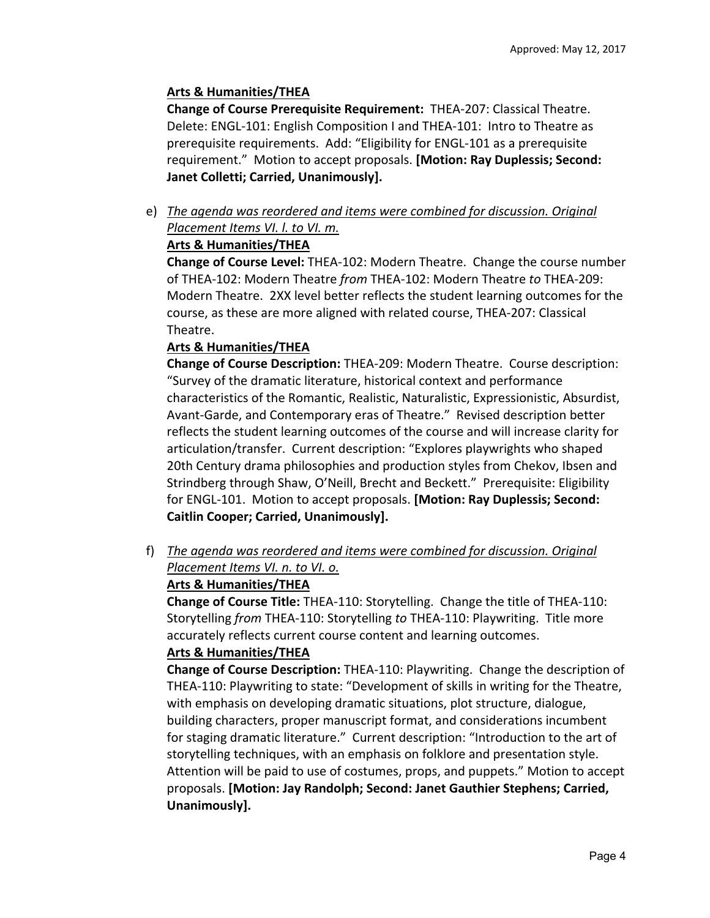# **Arts & Humanities/THEA**

**Change of Course Prerequisite Requirement: THEA-207: Classical Theatre.** Delete: ENGL-101: English Composition I and THEA-101: Intro to Theatre as prerequisite requirements. Add: "Eligibility for ENGL‐101 as a prerequisite requirement." Motion to accept proposals. **[Motion: Ray Duplessis; Second: Janet Colletti; Carried, Unanimously].** 

e) *The agenda was reordered and items were combined for discussion. Original Placement Items VI. l. to VI. m.* 

# **Arts & Humanities/THEA**

**Change of Course Level:** THEA‐102: Modern Theatre. Change the course number of THEA‐102: Modern Theatre *from* THEA‐102: Modern Theatre *to* THEA‐209: Modern Theatre. 2XX level better reflects the student learning outcomes for the course, as these are more aligned with related course, THEA‐207: Classical Theatre.

# **Arts & Humanities/THEA**

**Change of Course Description:** THEA‐209: Modern Theatre. Course description: "Survey of the dramatic literature, historical context and performance characteristics of the Romantic, Realistic, Naturalistic, Expressionistic, Absurdist, Avant‐Garde, and Contemporary eras of Theatre." Revised description better reflects the student learning outcomes of the course and will increase clarity for articulation/transfer. Current description: "Explores playwrights who shaped 20th Century drama philosophies and production styles from Chekov, Ibsen and Strindberg through Shaw, O'Neill, Brecht and Beckett." Prerequisite: Eligibility for ENGL‐101. Motion to accept proposals. **[Motion: Ray Duplessis; Second: Caitlin Cooper; Carried, Unanimously].** 

f) *The agenda was reordered and items were combined for discussion. Original Placement Items VI. n. to VI. o.* 

# **Arts & Humanities/THEA**

**Change of Course Title:** THEA‐110: Storytelling. Change the title of THEA‐110: Storytelling *from* THEA‐110: Storytelling *to* THEA‐110: Playwriting. Title more accurately reflects current course content and learning outcomes.

### **Arts & Humanities/THEA**

**Change of Course Description:** THEA‐110: Playwriting. Change the description of THEA‐110: Playwriting to state: "Development of skills in writing for the Theatre, with emphasis on developing dramatic situations, plot structure, dialogue, building characters, proper manuscript format, and considerations incumbent for staging dramatic literature." Current description: "Introduction to the art of storytelling techniques, with an emphasis on folklore and presentation style. Attention will be paid to use of costumes, props, and puppets." Motion to accept proposals. **[Motion: Jay Randolph; Second: Janet Gauthier Stephens; Carried, Unanimously].**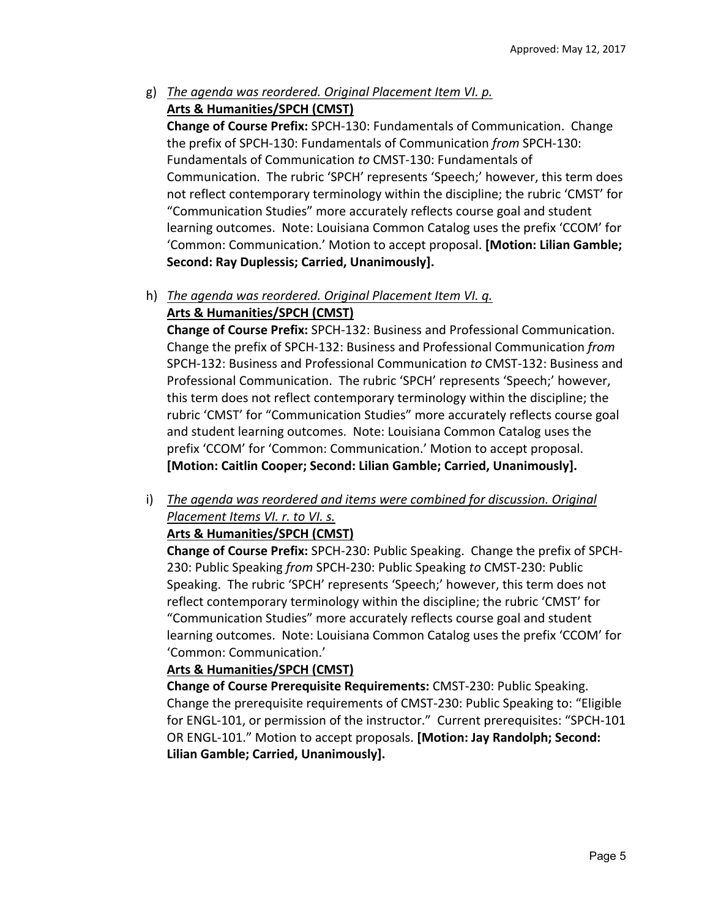g) *The agenda was reordered. Original Placement Item VI. p.*  **Arts & Humanities/SPCH (CMST)** 

**Change of Course Prefix:** SPCH‐130: Fundamentals of Communication. Change the prefix of SPCH‐130: Fundamentals of Communication *from* SPCH‐130: Fundamentals of Communication *to* CMST‐130: Fundamentals of Communication. The rubric 'SPCH' represents 'Speech;' however, this term does not reflect contemporary terminology within the discipline; the rubric 'CMST' for "Communication Studies" more accurately reflects course goal and student learning outcomes. Note: Louisiana Common Catalog uses the prefix 'CCOM' for 'Common: Communication.' Motion to accept proposal. **[Motion: Lilian Gamble; Second: Ray Duplessis; Carried, Unanimously].** 

#### h) *The agenda was reordered. Original Placement Item VI. q.*  **Arts & Humanities/SPCH (CMST)**

**Change of Course Prefix:** SPCH‐132: Business and Professional Communication. Change the prefix of SPCH‐132: Business and Professional Communication *from*  SPCH‐132: Business and Professional Communication *to* CMST‐132: Business and Professional Communication. The rubric 'SPCH' represents 'Speech;' however, this term does not reflect contemporary terminology within the discipline; the rubric 'CMST' for "Communication Studies" more accurately reflects course goal and student learning outcomes. Note: Louisiana Common Catalog uses the prefix 'CCOM' for 'Common: Communication.' Motion to accept proposal. **[Motion: Caitlin Cooper; Second: Lilian Gamble; Carried, Unanimously].** 

i) *The agenda was reordered and items were combined for discussion. Original Placement Items VI. r. to VI. s.* 

# **Arts & Humanities/SPCH (CMST)**

**Change of Course Prefix:** SPCH‐230: Public Speaking. Change the prefix of SPCH‐ 230: Public Speaking *from* SPCH‐230: Public Speaking *to* CMST‐230: Public Speaking. The rubric 'SPCH' represents 'Speech;' however, this term does not reflect contemporary terminology within the discipline; the rubric 'CMST' for "Communication Studies" more accurately reflects course goal and student learning outcomes. Note: Louisiana Common Catalog uses the prefix 'CCOM' for 'Common: Communication.'

### **Arts & Humanities/SPCH (CMST)**

**Change of Course Prerequisite Requirements:** CMST‐230: Public Speaking. Change the prerequisite requirements of CMST‐230: Public Speaking to: "Eligible for ENGL-101, or permission of the instructor." Current prerequisites: "SPCH-101 OR ENGL‐101." Motion to accept proposals. **[Motion: Jay Randolph; Second: Lilian Gamble; Carried, Unanimously].**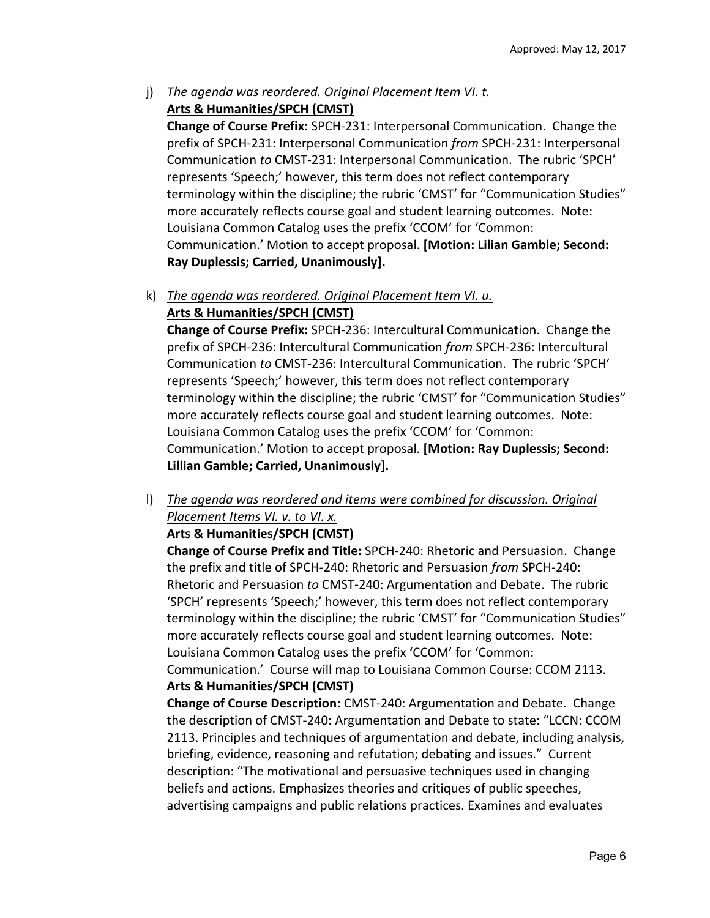j) The agenda was reordered. Original Placement Item VI. t. **Arts & Humanities/SPCH (CMST)** 

**Change of Course Prefix:** SPCH‐231: Interpersonal Communication. Change the prefix of SPCH‐231: Interpersonal Communication *from* SPCH‐231: Interpersonal Communication *to* CMST‐231: Interpersonal Communication. The rubric 'SPCH' represents 'Speech;' however, this term does not reflect contemporary terminology within the discipline; the rubric 'CMST' for "Communication Studies" more accurately reflects course goal and student learning outcomes. Note: Louisiana Common Catalog uses the prefix 'CCOM' for 'Common: Communication.' Motion to accept proposal. **[Motion: Lilian Gamble; Second: Ray Duplessis; Carried, Unanimously].** 

### k) *The agenda was reordered. Original Placement Item VI. u.*  **Arts & Humanities/SPCH (CMST)**

**Change of Course Prefix:** SPCH‐236: Intercultural Communication. Change the prefix of SPCH‐236: Intercultural Communication *from* SPCH‐236: Intercultural Communication *to* CMST‐236: Intercultural Communication. The rubric 'SPCH' represents 'Speech;' however, this term does not reflect contemporary terminology within the discipline; the rubric 'CMST' for "Communication Studies" more accurately reflects course goal and student learning outcomes. Note: Louisiana Common Catalog uses the prefix 'CCOM' for 'Common: Communication.' Motion to accept proposal. **[Motion: Ray Duplessis; Second: Lillian Gamble; Carried, Unanimously].** 

l) *The agenda was reordered and items were combined for discussion. Original Placement Items VI. v. to VI. x.* 

### **Arts & Humanities/SPCH (CMST)**

**Change of Course Prefix and Title:** SPCH‐240: Rhetoric and Persuasion. Change the prefix and title of SPCH‐240: Rhetoric and Persuasion *from* SPCH‐240: Rhetoric and Persuasion *to* CMST‐240: Argumentation and Debate. The rubric 'SPCH' represents 'Speech;' however, this term does not reflect contemporary terminology within the discipline; the rubric 'CMST' for "Communication Studies" more accurately reflects course goal and student learning outcomes. Note: Louisiana Common Catalog uses the prefix 'CCOM' for 'Common:

Communication.' Course will map to Louisiana Common Course: CCOM 2113. **Arts & Humanities/SPCH (CMST)** 

**Change of Course Description:** CMST‐240: Argumentation and Debate. Change the description of CMST‐240: Argumentation and Debate to state: "LCCN: CCOM 2113. Principles and techniques of argumentation and debate, including analysis, briefing, evidence, reasoning and refutation; debating and issues." Current description: "The motivational and persuasive techniques used in changing beliefs and actions. Emphasizes theories and critiques of public speeches, advertising campaigns and public relations practices. Examines and evaluates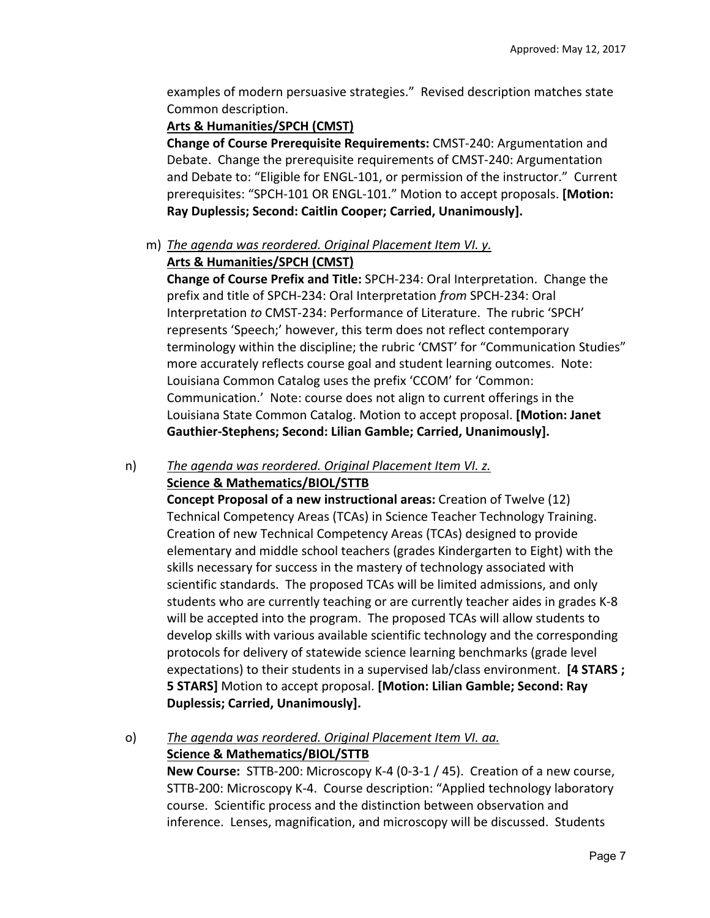examples of modern persuasive strategies." Revised description matches state Common description.

#### **Arts & Humanities/SPCH (CMST)**

**Change of Course Prerequisite Requirements:** CMST‐240: Argumentation and Debate. Change the prerequisite requirements of CMST‐240: Argumentation and Debate to: "Eligible for ENGL-101, or permission of the instructor." Current prerequisites: "SPCH‐101 OR ENGL‐101." Motion to accept proposals. **[Motion: Ray Duplessis; Second: Caitlin Cooper; Carried, Unanimously].** 

# m) *The agenda was reordered. Original Placement Item VI. y.*

# **Arts & Humanities/SPCH (CMST)**

**Change of Course Prefix and Title:** SPCH‐234: Oral Interpretation. Change the prefix and title of SPCH‐234: Oral Interpretation *from* SPCH‐234: Oral Interpretation *to* CMST‐234: Performance of Literature. The rubric 'SPCH' represents 'Speech;' however, this term does not reflect contemporary terminology within the discipline; the rubric 'CMST' for "Communication Studies" more accurately reflects course goal and student learning outcomes. Note: Louisiana Common Catalog uses the prefix 'CCOM' for 'Common: Communication.' Note: course does not align to current offerings in the Louisiana State Common Catalog. Motion to accept proposal. **[Motion: Janet Gauthier‐Stephens; Second: Lilian Gamble; Carried, Unanimously].** 

### n) *The agenda was reordered. Original Placement Item VI. z.*  **Science & Mathematics/BIOL/STTB**

**Concept Proposal of a new instructional areas:** Creation of Twelve (12) Technical Competency Areas (TCAs) in Science Teacher Technology Training. Creation of new Technical Competency Areas (TCAs) designed to provide elementary and middle school teachers (grades Kindergarten to Eight) with the skills necessary for success in the mastery of technology associated with scientific standards. The proposed TCAs will be limited admissions, and only students who are currently teaching or are currently teacher aides in grades K‐8 will be accepted into the program. The proposed TCAs will allow students to develop skills with various available scientific technology and the corresponding protocols for delivery of statewide science learning benchmarks (grade level expectations) to their students in a supervised lab/class environment. **[4 STARS ; 5 STARS]** Motion to accept proposal. **[Motion: Lilian Gamble; Second: Ray Duplessis; Carried, Unanimously].** 

### o) *The agenda was reordered. Original Placement Item VI. aa.*  **Science & Mathematics/BIOL/STTB**

**New Course:** STTB‐200: Microscopy K‐4 (0‐3‐1 / 45). Creation of a new course, STTB‐200: Microscopy K‐4. Course description: "Applied technology laboratory course. Scientific process and the distinction between observation and inference. Lenses, magnification, and microscopy will be discussed. Students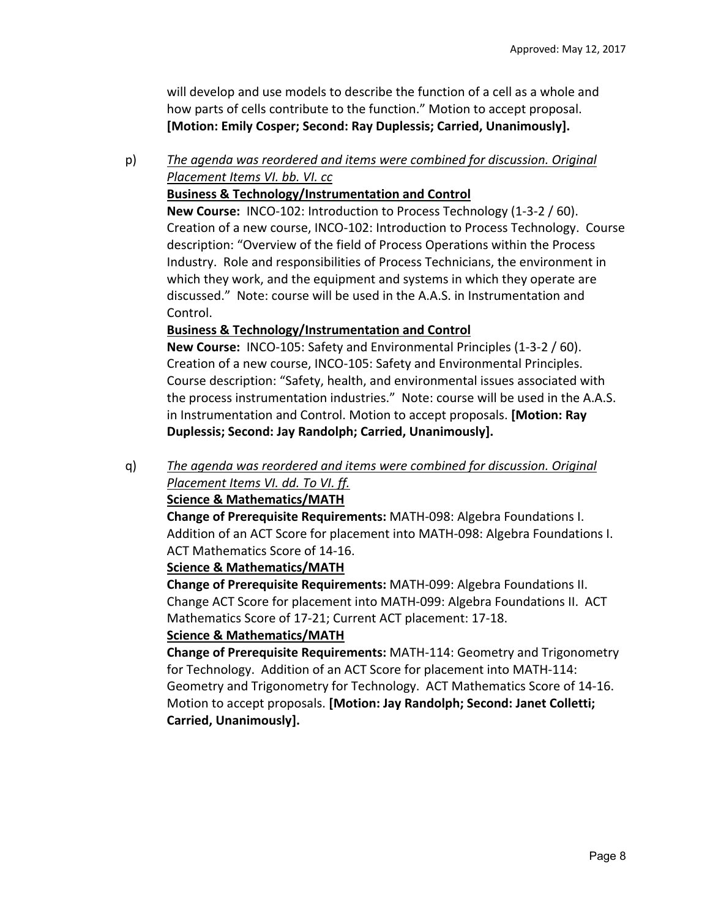will develop and use models to describe the function of a cell as a whole and how parts of cells contribute to the function." Motion to accept proposal. **[Motion: Emily Cosper; Second: Ray Duplessis; Carried, Unanimously].** 

# p) *The agenda was reordered and items were combined for discussion. Original Placement Items VI. bb. VI. cc*

**Business & Technology/Instrumentation and Control** 

**New Course:** INCO‐102: Introduction to Process Technology (1‐3‐2 / 60). Creation of a new course, INCO‐102: Introduction to Process Technology. Course description: "Overview of the field of Process Operations within the Process Industry. Role and responsibilities of Process Technicians, the environment in which they work, and the equipment and systems in which they operate are discussed." Note: course will be used in the A.A.S. in Instrumentation and Control.

# **Business & Technology/Instrumentation and Control**

**New Course:** INCO‐105: Safety and Environmental Principles (1‐3‐2 / 60). Creation of a new course, INCO‐105: Safety and Environmental Principles. Course description: "Safety, health, and environmental issues associated with the process instrumentation industries." Note: course will be used in the A.A.S. in Instrumentation and Control. Motion to accept proposals. **[Motion: Ray Duplessis; Second: Jay Randolph; Carried, Unanimously].** 

q) *The agenda was reordered and items were combined for discussion. Original Placement Items VI. dd. To VI. ff.* 

### **Science & Mathematics/MATH**

**Change of Prerequisite Requirements:** MATH‐098: Algebra Foundations I. Addition of an ACT Score for placement into MATH‐098: Algebra Foundations I. ACT Mathematics Score of 14‐16.

### **Science & Mathematics/MATH**

**Change of Prerequisite Requirements:** MATH‐099: Algebra Foundations II. Change ACT Score for placement into MATH‐099: Algebra Foundations II. ACT Mathematics Score of 17‐21; Current ACT placement: 17‐18.

### **Science & Mathematics/MATH**

**Change of Prerequisite Requirements:** MATH‐114: Geometry and Trigonometry for Technology. Addition of an ACT Score for placement into MATH‐114: Geometry and Trigonometry for Technology. ACT Mathematics Score of 14‐16. Motion to accept proposals. **[Motion: Jay Randolph; Second: Janet Colletti; Carried, Unanimously].**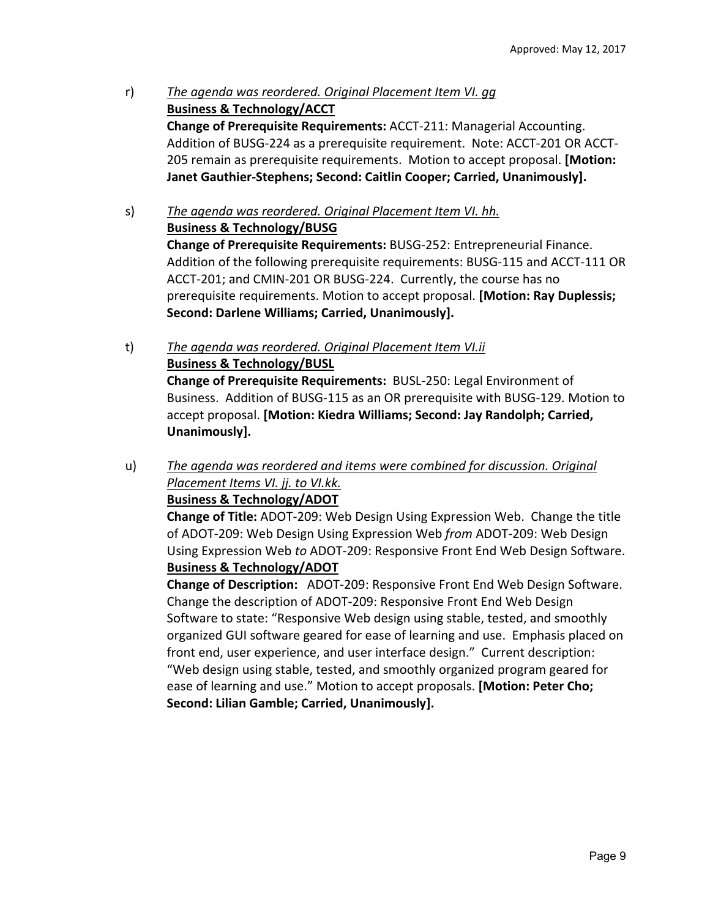- r) *The agenda was reordered. Original Placement Item VI. gg*  **Business & Technology/ACCT Change of Prerequisite Requirements:** ACCT‐211: Managerial Accounting. Addition of BUSG‐224 as a prerequisite requirement. Note: ACCT‐201 OR ACCT‐ 205 remain as prerequisite requirements. Motion to accept proposal. **[Motion: Janet Gauthier‐Stephens; Second: Caitlin Cooper; Carried, Unanimously].**
- s) *The agenda was reordered. Original Placement Item VI. hh.*  **Business & Technology/BUSG Change of Prerequisite Requirements:** BUSG‐252: Entrepreneurial Finance. Addition of the following prerequisite requirements: BUSG‐115 and ACCT‐111 OR ACCT‐201; and CMIN‐201 OR BUSG‐224. Currently, the course has no prerequisite requirements. Motion to accept proposal. **[Motion: Ray Duplessis; Second: Darlene Williams; Carried, Unanimously].**
- t) *The agenda was reordered. Original Placement Item VI.ii*  **Business & Technology/BUSL Change of Prerequisite Requirements:** BUSL‐250: Legal Environment of Business. Addition of BUSG‐115 as an OR prerequisite with BUSG‐129. Motion to accept proposal. **[Motion: Kiedra Williams; Second: Jay Randolph; Carried,**

**Unanimously].** 

u) *The agenda was reordered and items were combined for discussion. Original Placement Items VI. jj. to VI.kk.* 

#### **Business & Technology/ADOT**

**Change of Title:** ADOT‐209: Web Design Using Expression Web. Change the title of ADOT‐209: Web Design Using Expression Web *from* ADOT‐209: Web Design Using Expression Web *to* ADOT‐209: Responsive Front End Web Design Software. **Business & Technology/ADOT** 

**Change of Description:**  ADOT‐209: Responsive Front End Web Design Software. Change the description of ADOT‐209: Responsive Front End Web Design Software to state: "Responsive Web design using stable, tested, and smoothly organized GUI software geared for ease of learning and use. Emphasis placed on front end, user experience, and user interface design." Current description: "Web design using stable, tested, and smoothly organized program geared for ease of learning and use." Motion to accept proposals. **[Motion: Peter Cho; Second: Lilian Gamble; Carried, Unanimously].**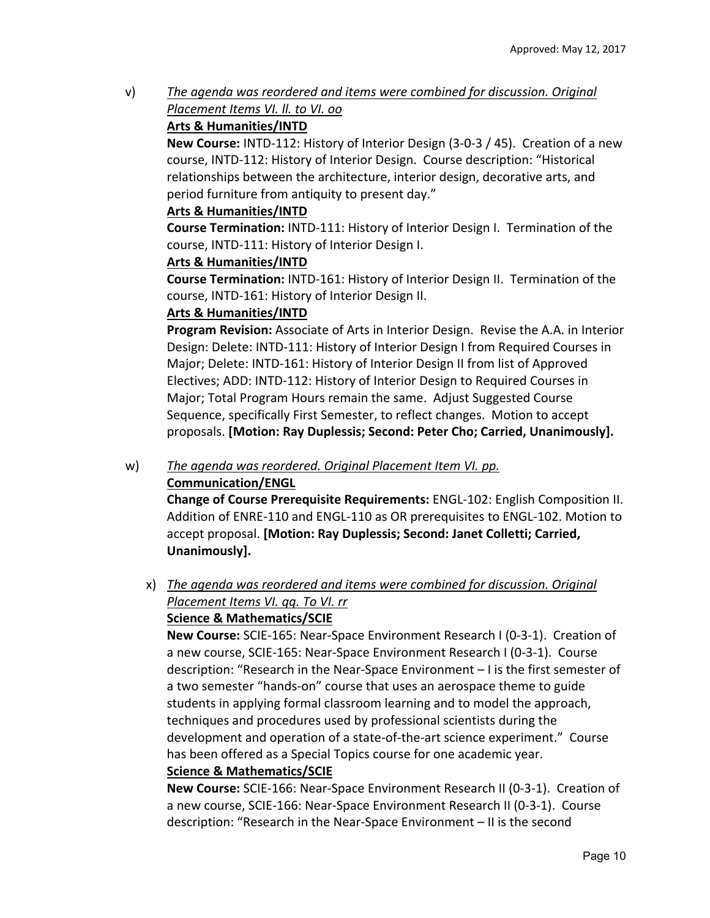v) *The agenda was reordered and items were combined for discussion. Original Placement Items VI. ll. to VI. oo* 

### **Arts & Humanities/INTD**

**New Course:** INTD‐112: History of Interior Design (3‐0‐3 / 45). Creation of a new course, INTD‐112: History of Interior Design. Course description: "Historical relationships between the architecture, interior design, decorative arts, and period furniture from antiquity to present day."

#### **Arts & Humanities/INTD**

**Course Termination:** INTD‐111: History of Interior Design I. Termination of the course, INTD‐111: History of Interior Design I.

#### **Arts & Humanities/INTD**

**Course Termination:** INTD‐161: History of Interior Design II. Termination of the course, INTD‐161: History of Interior Design II.

#### **Arts & Humanities/INTD**

**Program Revision:** Associate of Arts in Interior Design. Revise the A.A. in Interior Design: Delete: INTD‐111: History of Interior Design I from Required Courses in Major; Delete: INTD‐161: History of Interior Design II from list of Approved Electives; ADD: INTD‐112: History of Interior Design to Required Courses in Major; Total Program Hours remain the same. Adjust Suggested Course Sequence, specifically First Semester, to reflect changes. Motion to accept proposals. **[Motion: Ray Duplessis; Second: Peter Cho; Carried, Unanimously].** 

#### w) *The agenda was reordered. Original Placement Item VI. pp.*  **Communication/ENGL**

**Change of Course Prerequisite Requirements:** ENGL‐102: English Composition II. Addition of ENRE‐110 and ENGL‐110 as OR prerequisites to ENGL‐102. Motion to accept proposal. **[Motion: Ray Duplessis; Second: Janet Colletti; Carried, Unanimously].** 

### x) *The agenda was reordered and items were combined for discussion. Original Placement Items VI. qq. To VI. rr*  **Science & Mathematics/SCIE**

**New Course:** SCIE‐165: Near‐Space Environment Research I (0‐3‐1). Creation of a new course, SCIE‐165: Near‐Space Environment Research I (0‐3‐1). Course description: "Research in the Near‐Space Environment – I is the first semester of a two semester "hands‐on" course that uses an aerospace theme to guide students in applying formal classroom learning and to model the approach, techniques and procedures used by professional scientists during the development and operation of a state‐of‐the‐art science experiment." Course has been offered as a Special Topics course for one academic year. **Science & Mathematics/SCIE** 

**New Course:** SCIE‐166: Near‐Space Environment Research II (0‐3‐1). Creation of a new course, SCIE‐166: Near‐Space Environment Research II (0‐3‐1). Course description: "Research in the Near‐Space Environment – II is the second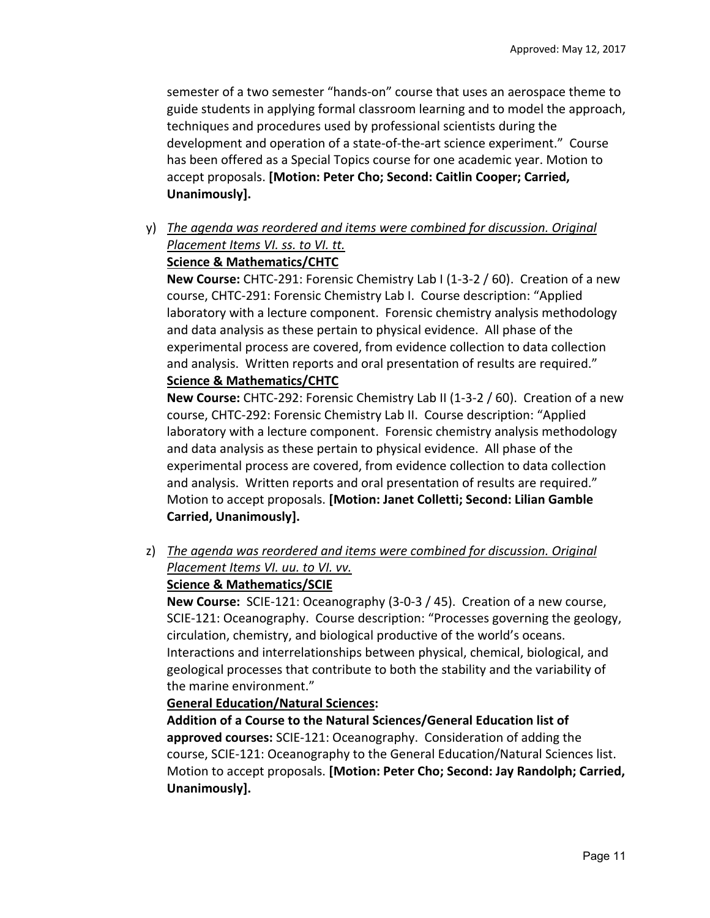semester of a two semester "hands‐on" course that uses an aerospace theme to guide students in applying formal classroom learning and to model the approach, techniques and procedures used by professional scientists during the development and operation of a state‐of‐the‐art science experiment." Course has been offered as a Special Topics course for one academic year. Motion to accept proposals. **[Motion: Peter Cho; Second: Caitlin Cooper; Carried, Unanimously].** 

y) *The agenda was reordered and items were combined for discussion. Original Placement Items VI. ss. to VI. tt.*  **Science & Mathematics/CHTC** 

**New Course:** CHTC‐291: Forensic Chemistry Lab I (1‐3‐2 / 60). Creation of a new course, CHTC‐291: Forensic Chemistry Lab I. Course description: "Applied laboratory with a lecture component. Forensic chemistry analysis methodology and data analysis as these pertain to physical evidence. All phase of the experimental process are covered, from evidence collection to data collection and analysis. Written reports and oral presentation of results are required." **Science & Mathematics/CHTC** 

**New Course:** CHTC‐292: Forensic Chemistry Lab II (1‐3‐2 / 60). Creation of a new course, CHTC‐292: Forensic Chemistry Lab II. Course description: "Applied laboratory with a lecture component. Forensic chemistry analysis methodology and data analysis as these pertain to physical evidence. All phase of the experimental process are covered, from evidence collection to data collection and analysis. Written reports and oral presentation of results are required." Motion to accept proposals. **[Motion: Janet Colletti; Second: Lilian Gamble Carried, Unanimously].** 

z) *The agenda was reordered and items were combined for discussion. Original Placement Items VI. uu. to VI. vv.* 

### **Science & Mathematics/SCIE**

**New Course:** SCIE‐121: Oceanography (3‐0‐3 / 45). Creation of a new course, SCIE‐121: Oceanography. Course description: "Processes governing the geology, circulation, chemistry, and biological productive of the world's oceans. Interactions and interrelationships between physical, chemical, biological, and geological processes that contribute to both the stability and the variability of the marine environment."

### **General Education/Natural Sciences:**

**Addition of a Course to the Natural Sciences/General Education list of approved courses:** SCIE‐121: Oceanography. Consideration of adding the course, SCIE‐121: Oceanography to the General Education/Natural Sciences list. Motion to accept proposals. **[Motion: Peter Cho; Second: Jay Randolph; Carried, Unanimously].**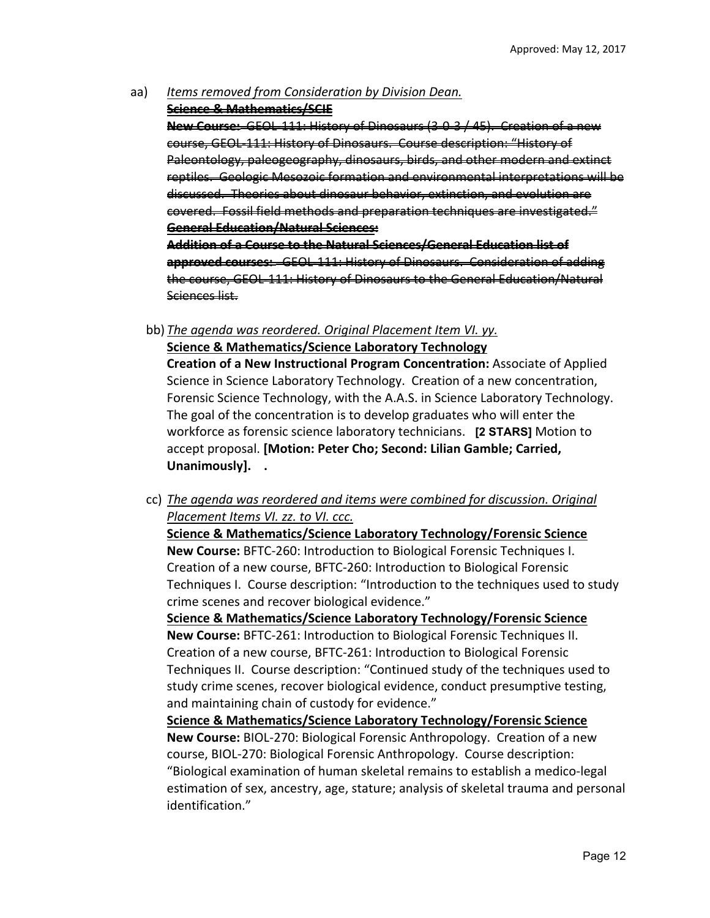- aa) *Items removed from Consideration by Division Dean.* 
	- **Science & Mathematics/SCIE**

**New Course:** GEOL‐111: History of Dinosaurs (3‐0‐3 / 45). Creation of a new course, GEOL‐111: History of Dinosaurs. Course description: "History of Paleontology, paleogeography, dinosaurs, birds, and other modern reptiles. Geologic Mesozoic formation and environmental interpretations will be discussed. Theories about dinosaur behavior, extinction, and evolution are covered. Fossil field methods and preparation techniq **General Education/Natural Sciences: Addition of a Course to the Natural Sciences/General Education list of approved courses:**  GEOL‐111: History of Dinosaurs. Consideration of adding

the course, GEOL‐111: History of Dinosaurs to the General Education/Natural Sciences list.

bb) *The agenda was reordered. Original Placement Item VI. yy.* 

**Science & Mathematics/Science Laboratory Technology Creation of a New Instructional Program Concentration:** Associate of Applied Science in Science Laboratory Technology. Creation of a new concentration, Forensic Science Technology, with the A.A.S. in Science Laboratory Technology. The goal of the concentration is to develop graduates who will enter the workforce as forensic science laboratory technicians. **[2 STARS]** Motion to accept proposal. **[Motion: Peter Cho; Second: Lilian Gamble; Carried,** 

**Unanimously]. .** 

cc) *The agenda was reordered and items were combined for discussion. Original Placement Items VI. zz. to VI. ccc.* 

**Science & Mathematics/Science Laboratory Technology/Forensic Science New Course:** BFTC‐260: Introduction to Biological Forensic Techniques I. Creation of a new course, BFTC‐260: Introduction to Biological Forensic Techniques I. Course description: "Introduction to the techniques used to study crime scenes and recover biological evidence."

**Science & Mathematics/Science Laboratory Technology/Forensic Science New Course:** BFTC‐261: Introduction to Biological Forensic Techniques II. Creation of a new course, BFTC‐261: Introduction to Biological Forensic Techniques II. Course description: "Continued study of the techniques used to study crime scenes, recover biological evidence, conduct presumptive testing, and maintaining chain of custody for evidence."

**Science & Mathematics/Science Laboratory Technology/Forensic Science New Course:** BIOL‐270: Biological Forensic Anthropology. Creation of a new course, BIOL‐270: Biological Forensic Anthropology. Course description: "Biological examination of human skeletal remains to establish a medico‐legal estimation of sex, ancestry, age, stature; analysis of skeletal trauma and personal identification."